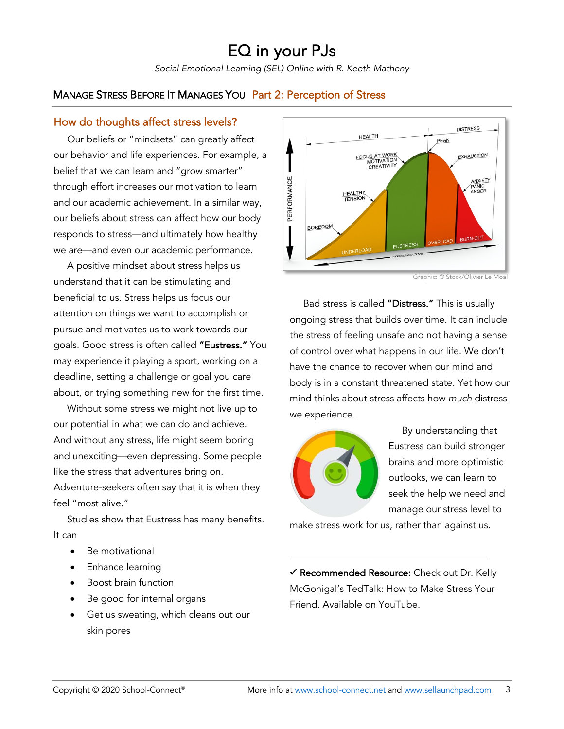# EQ in your PJs

*Social Emotional Learning (SEL) Online with R. Keeth Matheny*

## MANAGE STRESS BEFORE IT MANAGES YOU Part 2: Perception of Stress

#### How do thoughts affect stress levels?

 Our beliefs or "mindsets" can greatly affect our behavior and life experiences. For example, a belief that we can learn and "grow smarter" through effort increases our motivation to learn and our academic achievement. In a similar way, our beliefs about stress can affect how our body responds to stress—and ultimately how healthy we are—and even our academic performance.

 A positive mindset about stress helps us understand that it can be stimulating and beneficial to us. Stress helps us focus our attention on things we want to accomplish or pursue and motivates us to work towards our goals. Good stress is often called "Eustress." You may experience it playing a sport, working on a deadline, setting a challenge or goal you care about, or trying something new for the first time.

 Without some stress we might not live up to our potential in what we can do and achieve. And without any stress, life might seem boring and unexciting—even depressing. Some people like the stress that adventures bring on. Adventure-seekers often say that it is when they feel "most alive."

 Studies show that Eustress has many benefits. It can

- Be motivational
- Enhance learning
- Boost brain function
- Be good for internal organs
- Get us sweating, which cleans out our skin pores



Graphic: ©iStock/Olivier Le Moal

 Bad stress is called "Distress." This is usually ongoing stress that builds over time. It can include the stress of feeling unsafe and not having a sense of control over what happens in our life. We don't have the chance to recover when our mind and body is in a constant threatened state. Yet how our mind thinks about stress affects how *much* distress we experience.



 $\overline{a}$ 

 By understanding that Eustress can build stronger brains and more optimistic outlooks, we can learn to seek the help we need and manage our stress level to

make stress work for us, rather than against us.

 $\checkmark$  Recommended Resource: Check out Dr. Kelly McGonigal's TedTalk: How to Make Stress Your Friend. Available on YouTube.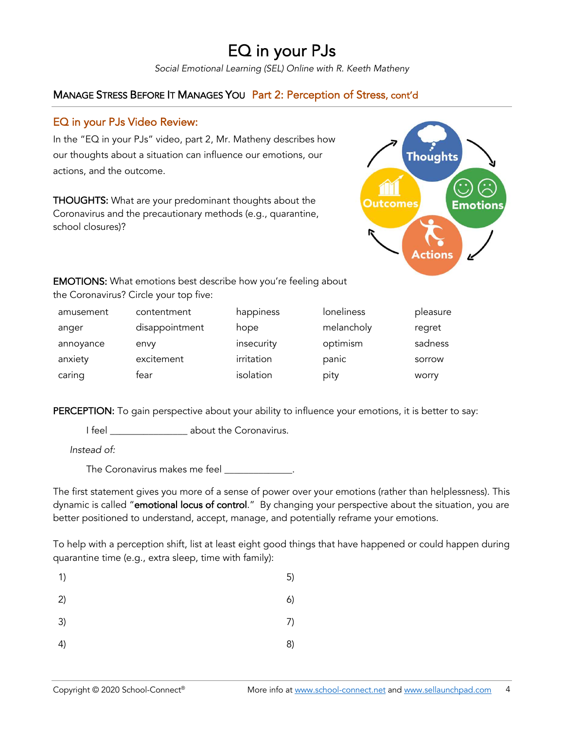# EQ in your PJs

*Social Emotional Learning (SEL) Online with R. Keeth Matheny*

## MANAGE STRESS BEFORE IT MANAGES YOU Part 2: Perception of Stress, cont'd

### EQ in your PJs Video Review:

In the "EQ in your PJs" video, part 2, Mr. Matheny describes how our thoughts about a situation can influence our emotions, our actions, and the outcome.

THOUGHTS: What are your predominant thoughts about the Coronavirus and the precautionary methods (e.g., quarantine, school closures)?



EMOTIONS: What emotions best describe how you're feeling about the Coronavirus? Circle your top five:

| amusement | contentment    | happiness  | loneliness | pleasure |
|-----------|----------------|------------|------------|----------|
| anger     | disappointment | hope       | melancholy | regret   |
| annoyance | envy           | insecurity | optimism   | sadness  |
| anxiety   | excitement     | irritation | panic      | sorrow   |
| caring    | tear           | isolation  | pity       | worry    |

PERCEPTION: To gain perspective about your ability to influence your emotions, it is better to say:

I feel \_\_\_\_\_\_\_\_\_\_\_\_\_\_\_\_ about the Coronavirus.

*Instead of:*

The Coronavirus makes me feel \_\_\_\_\_\_\_\_\_\_\_\_\_\_.

The first statement gives you more of a sense of power over your emotions (rather than helplessness). This dynamic is called "emotional locus of control." By changing your perspective about the situation, you are better positioned to understand, accept, manage, and potentially reframe your emotions.

To help with a perception shift, list at least eight good things that have happened or could happen during quarantine time (e.g., extra sleep, time with family):

| 1) | 5) |
|----|----|
| 2) | 6) |
| 3) | 7) |
| 4) | 8) |